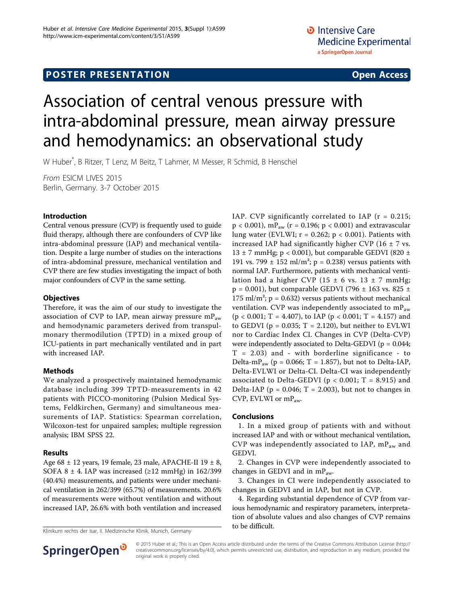## **POSTER PRESENTATION CONSUMING ACCESS**

# Association of central venous pressure with intra-abdominal pressure, mean airway pressure and hemodynamics: an observational study

W Huber\* , B Ritzer, T Lenz, M Beitz, T Lahmer, M Messer, R Schmid, B Henschel

From ESICM LIVES 2015 Berlin, Germany. 3-7 October 2015

#### Introduction

Central venous pressure (CVP) is frequently used to guide fluid therapy, although there are confounders of CVP like intra-abdominal pressure (IAP) and mechanical ventilation. Despite a large number of studies on the interactions of intra-abdominal pressure, mechanical ventilation and CVP there are few studies investigating the impact of both major confounders of CVP in the same setting.

#### **Objectives**

Therefore, it was the aim of our study to investigate the association of CVP to IAP, mean airway pressure  $mP_{aw}$ and hemodynamic parameters derived from transpulmonary thermodilution (TPTD) in a mixed group of ICU-patients in part mechanically ventilated and in part with increased IAP.

#### Methods

We analyzed a prospectively maintained hemodynamic database including 399 TPTD-measurements in 42 patients with PICCO-monitoring (Pulsion Medical Systems, Feldkirchen, Germany) and simultaneous measurements of IAP. Statistics: Spearman correlation, Wilcoxon-test for unpaired samples; multiple regression analysis; IBM SPSS 22.

#### Results

Age 68 ± 12 years, 19 female, 23 male, APACHE-II 19 ± 8, SOFA 8  $\pm$  4. IAP was increased ( $\geq$ 12 mmHg) in 162/399 (40.4%) measurements, and patients were under mechanical ventilation in 262/399 (65.7%) of measurements. 20.6% of measurements were without ventilation and without increased IAP, 26.6% with both ventilation and increased

Klinikum rechts der Isar, II. Medizinische Klinik, Munich, Germany

IAP. CVP significantly correlated to IAP ( $r = 0.215$ ;  $p < 0.001$ ), mP<sub>aw</sub> (r = 0.196; p < 0.001) and extravascular lung water (EVLWI;  $r = 0.262$ ;  $p < 0.001$ ). Patients with increased IAP had significantly higher CVP (16  $\pm$  7 vs. 13  $\pm$  7 mmHg; p < 0.001), but comparable GEDVI (820  $\pm$ 191 vs. 799  $\pm$  152 ml/m<sup>2</sup>; p = 0.238) versus patients with normal IAP. Furthermore, patients with mechanical ventilation had a higher CVP (15  $\pm$  6 vs. 13  $\pm$  7 mmHg;  $p = 0.001$ ), but comparable GEDVI (796  $\pm$  163 vs. 825  $\pm$ 175 ml/m<sup>2</sup>;  $p = 0.632$ ) versus patients without mechanical ventilation. CVP was independently associated to mP<sub>aw</sub>  $(p < 0.001$ ; T = 4.407), to IAP  $(p < 0.001$ ; T = 4.157) and to GEDVI ( $p = 0.035$ ; T = 2.120), but neither to EVLWI nor to Cardiac Index CI. Changes in CVP (Delta-CVP) were independently associated to Delta-GEDVI ( $p = 0.044$ ;  $T = 2.03$ ) and - with borderline significance - to Delta-m $P_{\text{aw}}$  (p = 0.066; T = 1.857), but not to Delta-IAP, Delta-EVLWI or Delta-CI. Delta-CI was independently associated to Delta-GEDVI ( $p < 0.001$ ; T = 8.915) and Delta-IAP ( $p = 0.046$ ; T = 2.003), but not to changes in CVP, EVLWI or mPaw.

#### Conclusions

1. In a mixed group of patients with and without increased IAP and with or without mechanical ventilation, CVP was independently associated to IAP,  $mP_{aw}$  and GEDVI.

2. Changes in CVP were independently associated to changes in GEDVI and in mPaw.

3. Changes in CI were independently associated to changes in GEDVI and in IAP, but not in CVP.

4. Regarding substantial dependence of CVP from various hemodynamic and respiratory parameters, interpretation of absolute values and also changes of CVP remains to be difficult.



© 2015 Huber et al.; This is an Open Access article distributed under the terms of the Creative Commons Attribution License [\(http://](http://creativecommons.org/licenses/by/4.0) [creativecommons.org/licenses/by/4.0](http://creativecommons.org/licenses/by/4.0)), which permits unrestricted use, distribution, and reproduction in any medium, provided the original work is properly cited.